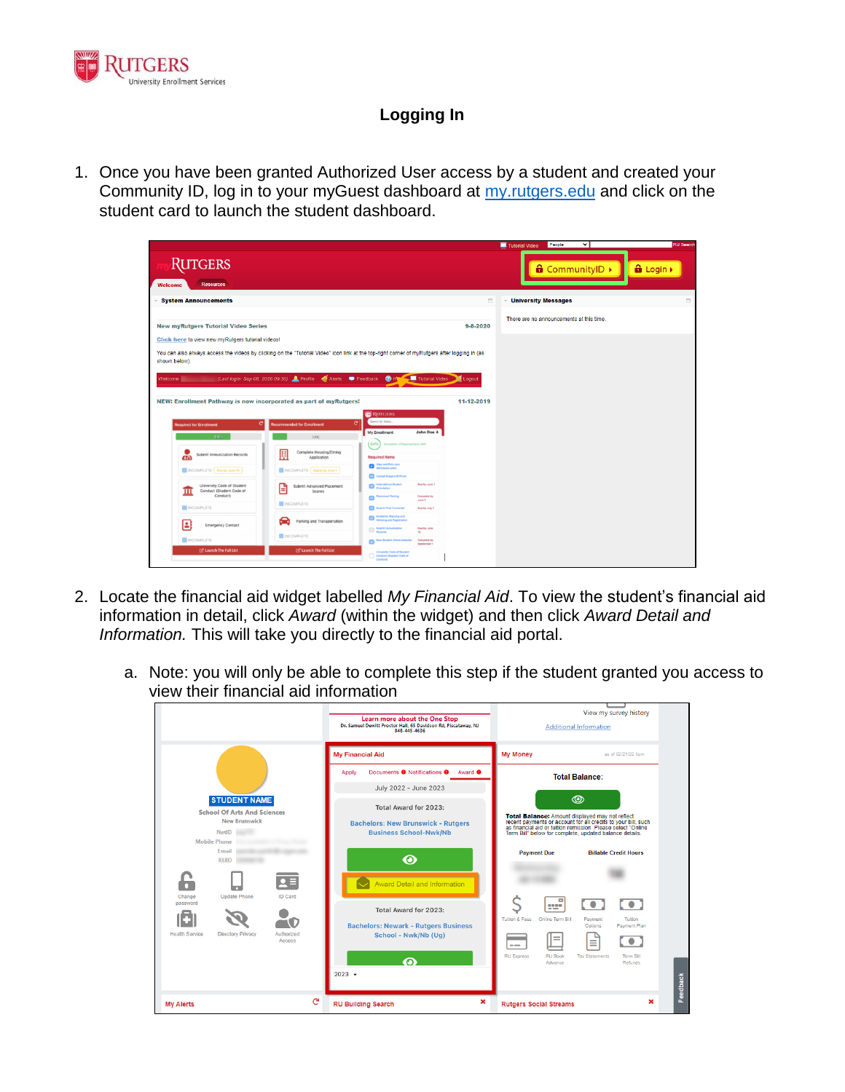

## **Logging In**

1. Once you have been granted Authorized User access by a student and created your Community ID, log in to your myGuest dashboard at [my.rutgers.edu](https://my.rutgers.edu/) and click on the student card to launch the student dashboard.

|                                                                                                                                                                |                                                                           |                                                                    |                           | People<br>◡<br>Tutorial Video            | <b>RU Search</b> |  |  |
|----------------------------------------------------------------------------------------------------------------------------------------------------------------|---------------------------------------------------------------------------|--------------------------------------------------------------------|---------------------------|------------------------------------------|------------------|--|--|
| RUTGERS                                                                                                                                                        |                                                                           |                                                                    |                           | <b>a</b> CommunityID ▶                   | <b>a</b> Login > |  |  |
| <b>Resources</b><br>Welcome                                                                                                                                    |                                                                           |                                                                    |                           |                                          |                  |  |  |
| <b>System Announcements</b>                                                                                                                                    |                                                                           |                                                                    | 员                         | <b>University Messages</b><br>$\sim$     | ō                |  |  |
| <b>New myRutgers Tutorial Video Series</b><br>$9 - 8 - 2020$                                                                                                   |                                                                           |                                                                    |                           | There are no announcements at this time. |                  |  |  |
|                                                                                                                                                                |                                                                           |                                                                    |                           |                                          |                  |  |  |
| Click here to view new myRutgers tutorial videos!                                                                                                              |                                                                           |                                                                    |                           |                                          |                  |  |  |
| You can also always access the videos by clicking on the "Tutorial Video" icon link at the top-right corner of myRutgers after logging in (as<br>shown below). |                                                                           |                                                                    |                           |                                          |                  |  |  |
|                                                                                                                                                                |                                                                           |                                                                    |                           |                                          |                  |  |  |
| Welcome   Last login: Sep 08, 2020 09:30) C Profile & Alerts P Feedback                                                                                        |                                                                           |                                                                    | <b>O</b> H Tutorial Video |                                          |                  |  |  |
|                                                                                                                                                                |                                                                           |                                                                    |                           |                                          |                  |  |  |
| NEW: Enrollment Pathway is now incorporated as part of myRutgers!                                                                                              |                                                                           |                                                                    | 11-12-2019                |                                          |                  |  |  |
|                                                                                                                                                                | $\mathbf{C}$                                                              | <b>RUTGERS</b><br>Search for Todos                                 |                           |                                          |                  |  |  |
| <b>Required for Enrollment</b>                                                                                                                                 | commended for Enrollment                                                  | My Enrollment                                                      | John Doe ±                |                                          |                  |  |  |
| 64%                                                                                                                                                            | TPL                                                                       | 64%<br><b>Completion of Reguired Items G4%</b>                     |                           |                                          |                  |  |  |
| Submit Immunization Records<br>60                                                                                                                              | 厠<br>Complete Housing/Dining<br>Application<br>INCOMPLETE Apply by June 1 | <b>Required Items</b>                                              |                           |                                          |                  |  |  |
| INCOMPLETE Core by June 15                                                                                                                                     |                                                                           | View and Print your<br><b>Admission Letter</b>                     |                           |                                          |                  |  |  |
|                                                                                                                                                                |                                                                           | Upload Rutgers ID Photo                                            |                           |                                          |                  |  |  |
| University Code of Student<br>Conduct (Student Code of<br>ш                                                                                                    | Submit Advanced Placement<br>A<br>Scores                                  | <b>Conferentianal Student</b>                                      | Due by June 1             |                                          |                  |  |  |
| Conduct)                                                                                                                                                       | <b>NCOMPLETE</b>                                                          | <b>Placement Testing</b>                                           | Complete by<br>June 1     |                                          |                  |  |  |
| <b>INCOMPLETE</b>                                                                                                                                              |                                                                           | <b>Calculation Transport</b>                                       | Don by July 1             |                                          |                  |  |  |
| E<br><b>Emergency Contact</b>                                                                                                                                  | Parking and Transportation                                                | Academic Planning and<br>Advising and Registration                 |                           |                                          |                  |  |  |
|                                                                                                                                                                | <b>NCOMPLETE</b>                                                          | <b>Bubmit Immunization</b>                                         | Due by June<br>15.        |                                          |                  |  |  |
| <b>NCOMPLETE</b><br><b>Z' Launch The Full List</b>                                                                                                             | <b>Z' Launch The Full List</b>                                            | New Student Online Modules Complete by                             | September 1               |                                          |                  |  |  |
|                                                                                                                                                                |                                                                           | University Code of Student<br>Conduct (Student Code of<br>Conducti |                           |                                          |                  |  |  |
|                                                                                                                                                                |                                                                           |                                                                    |                           |                                          |                  |  |  |

- 2. Locate the financial aid widget labelled *My Financial Aid*. To view the student's financial aid information in detail, click *Award* (within the widget) and then click *Award Detail and Information.* This will take you directly to the financial aid portal.
	- a. Note: you will only be able to complete this step if the student granted you access to view their financial aid information

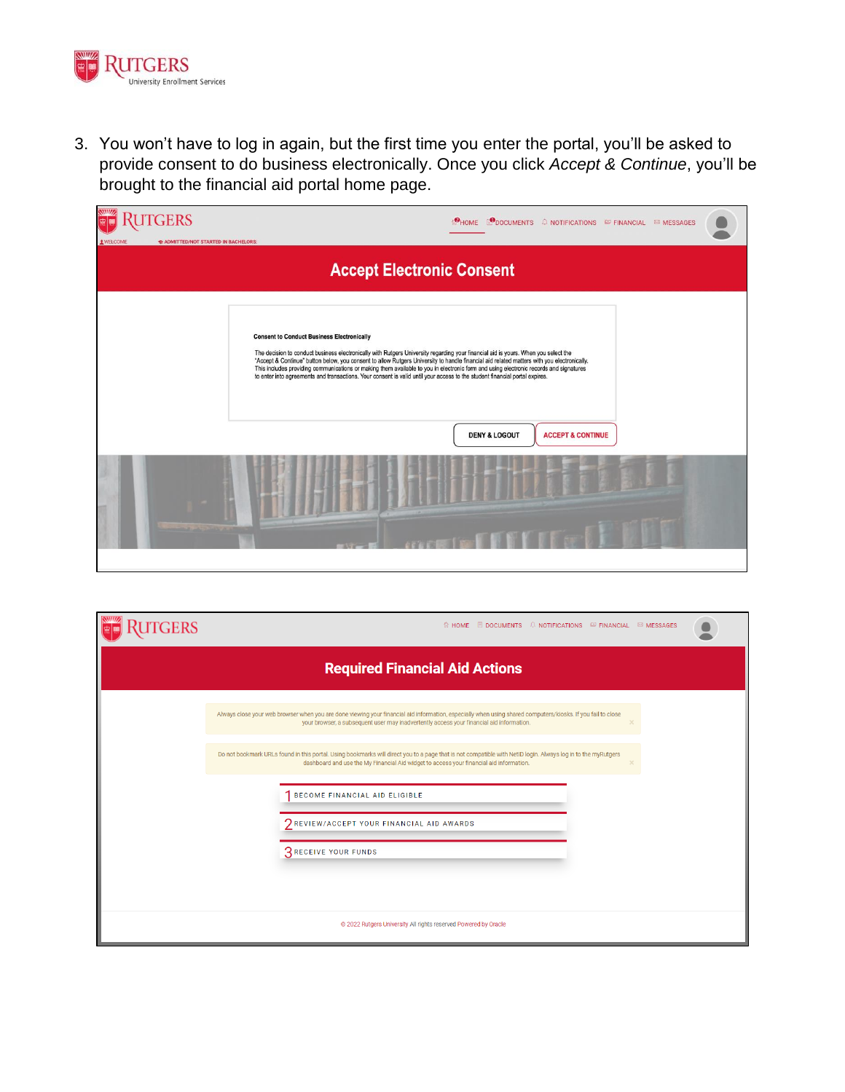

3. You won't have to log in again, but the first time you enter the portal, you'll be asked to provide consent to do business electronically. Once you click *Accept & Continue*, you'll be brought to the financial aid portal home page.

| <b>JTGERS</b><br>1 WELCOME       | ADMITTED/NOT STARTED IN BACHELORS: | MOME LODOCUMENTS A NOTIFICATIONS FINANCIAL EMESSAGES                                                                                                                                                                                                                                                                                                                                                                                                                                                                                                                                                          |  |  |  |  |  |  |
|----------------------------------|------------------------------------|---------------------------------------------------------------------------------------------------------------------------------------------------------------------------------------------------------------------------------------------------------------------------------------------------------------------------------------------------------------------------------------------------------------------------------------------------------------------------------------------------------------------------------------------------------------------------------------------------------------|--|--|--|--|--|--|
| <b>Accept Electronic Consent</b> |                                    |                                                                                                                                                                                                                                                                                                                                                                                                                                                                                                                                                                                                               |  |  |  |  |  |  |
|                                  |                                    | <b>Consent to Conduct Business Electronically</b><br>The decision to conduct business electronically with Rutgers University regarding your financial aid is yours. When you select the<br>"Accept & Continue" button below, you consent to allow Rutgers University to handle financial aid related matters with you electronically.<br>This includes providing communications or making them available to you in electronic form and using electronic records and signatures<br>to enter into agreements and transactions. Your consent is valid until your access to the student financial portal expires. |  |  |  |  |  |  |
|                                  |                                    | <b>ACCEPT &amp; CONTINUE</b><br><b>DENY &amp; LOGOUT</b>                                                                                                                                                                                                                                                                                                                                                                                                                                                                                                                                                      |  |  |  |  |  |  |
|                                  |                                    |                                                                                                                                                                                                                                                                                                                                                                                                                                                                                                                                                                                                               |  |  |  |  |  |  |

| RUTGERS | © HOME <b>■ DOCUMENTS A NOTIFICATIONS ■ FINANCIAL ■ MESSAGES</b>                                                                                                                                                                                        |
|---------|---------------------------------------------------------------------------------------------------------------------------------------------------------------------------------------------------------------------------------------------------------|
|         | <b>Required Financial Aid Actions</b>                                                                                                                                                                                                                   |
|         | Always close your web browser when you are done viewing your financial aid information, especially when using shared computers/kiosks. If you fail to close<br>your browser, a subsequent user may inadvertently access your financial aid information. |
|         | Do not bookmark URLs found in this portal. Using bookmarks will direct you to a page that is not compatible with NetID login. Always log in to the myRutgers<br>dashboard and use the My Financial Aid widget to access your financial aid information. |
|         | BECOME FINANCIAL AID ELIGIBLE                                                                                                                                                                                                                           |
|         | <b>7 REVIEW/ACCEPT YOUR FINANCIAL AID AWARDS</b><br><b>3 RECEIVE YOUR FUNDS</b>                                                                                                                                                                         |
|         |                                                                                                                                                                                                                                                         |
|         | @ 2022 Rutgers University All rights reserved Powered by Oracle                                                                                                                                                                                         |